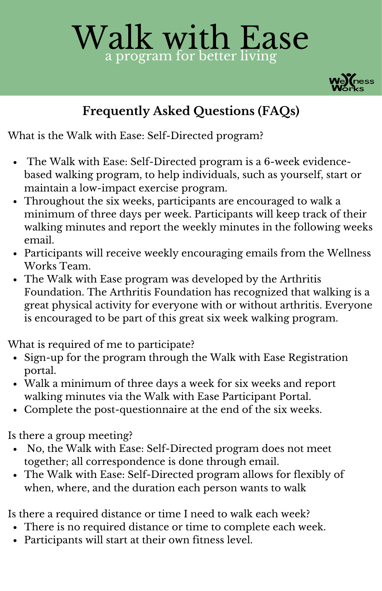## Walk with Ease a program for better living



## **Frequently Asked Questions (FAQs)**

What is the Walk with Ease: Self-Directed program?

- The Walk with Ease: Self-Directed program is a 6-week evidencebased walking program, to help individuals, such as yourself, start or maintain a low-impact exercise program.
- Throughout the six weeks, participants are encouraged to walk a minimum of three days per week. Participants will keep track of their walking minutes and report the weekly minutes in the following weeks email.
- Participants will receive weekly encouraging emails from the Wellness Works Team.
- The Walk with Ease program was developed by the Arthritis Foundation. The Arthritis Foundation has recognized that walking is a great physical activity for everyone with or without arthritis. Everyone is encouraged to be part of this great six week walking program.

What is required of me to participate?

- Sign-up for the program through the Walk with Ease Registration portal.
- Walk a minimum of three days a week for six weeks and report walking minutes via the Walk with Ease Participant Portal.
- Complete the post-questionnaire at the end of the six weeks.

Is there a group meeting?

- No, the Walk with Ease: Self-Directed program does not meet together; all correspondence is done through email.
- The Walk with Ease: Self-Directed program allows for flexibly of when, where, and the duration each person wants to walk

Is there a required distance or time I need to walk each week?

- There is no required distance or time to complete each week.
- Participants will start at their own fitness level.